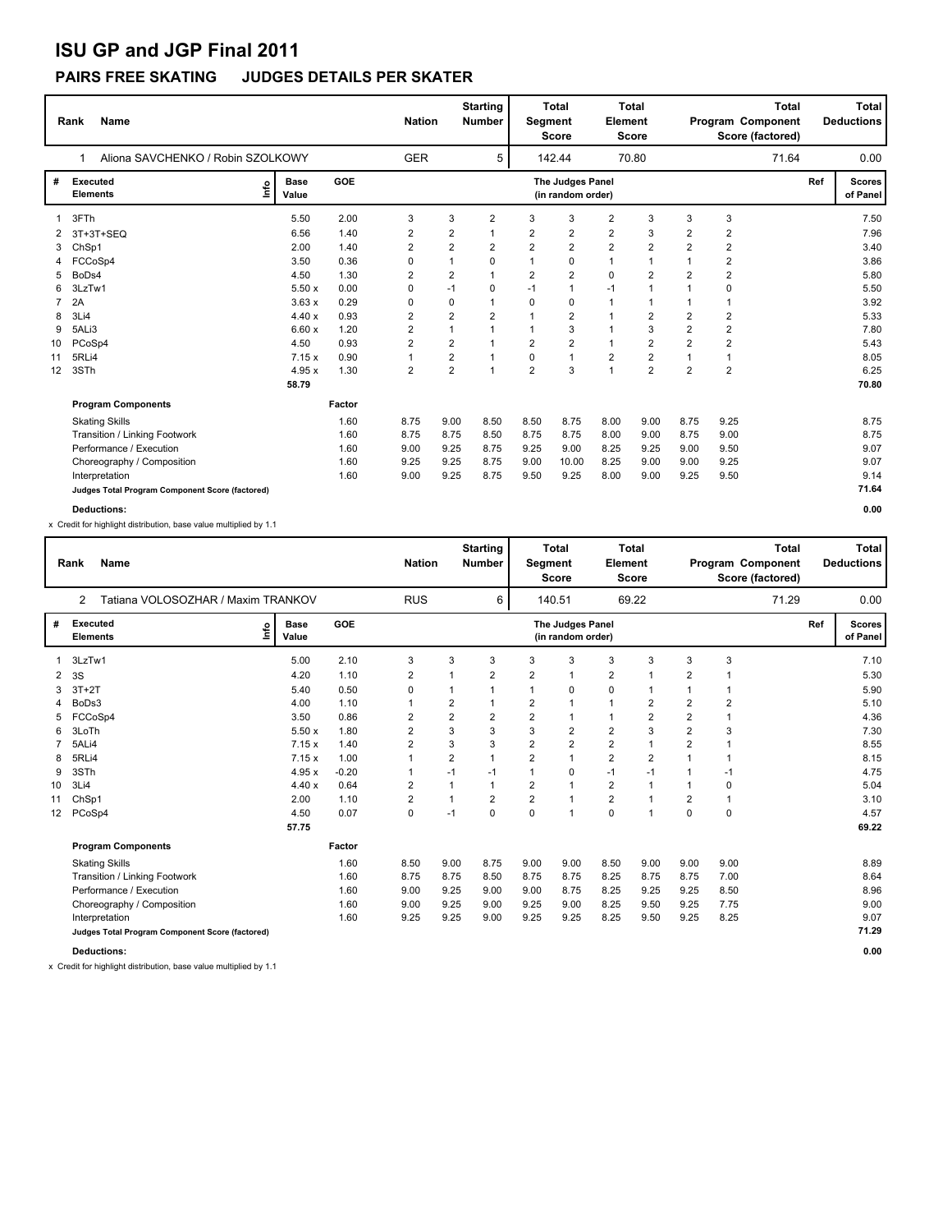# **ISU GP and JGP Final 2011**

### **PAIRS FREE SKATING JUDGES DETAILS PER SKATER**

|    | <b>Name</b><br>Rank                             |                      |            | <b>Nation</b>  |                         | <b>Starting</b><br><b>Number</b> | <b>Segment</b> | <b>Total</b><br><b>Score</b>          | <b>Element</b> | <b>Total</b><br><b>Score</b> |                | <b>Total</b><br>Program Component<br>Score (factored) |     | <b>Total</b><br><b>Deductions</b> |
|----|-------------------------------------------------|----------------------|------------|----------------|-------------------------|----------------------------------|----------------|---------------------------------------|----------------|------------------------------|----------------|-------------------------------------------------------|-----|-----------------------------------|
|    | Aliona SAVCHENKO / Robin SZOLKOWY               |                      |            | <b>GER</b>     |                         | 5                                |                | 142.44                                |                | 70.80                        |                | 71.64                                                 |     | 0.00                              |
| #  | Executed<br>١m<br><b>Elements</b>               | <b>Base</b><br>Value | <b>GOE</b> |                |                         |                                  |                | The Judges Panel<br>(in random order) |                |                              |                |                                                       | Ref | <b>Scores</b><br>of Panel         |
| 1  | 3FTh                                            | 5.50                 | 2.00       | 3              | 3                       | $\overline{2}$                   | 3              | 3                                     | $\overline{2}$ | 3                            | 3              | 3                                                     |     | 7.50                              |
| 2  | 3T+3T+SEQ                                       | 6.56                 | 1.40       | $\overline{2}$ | 2                       | 1                                | $\overline{2}$ | $\overline{2}$                        | $\overline{2}$ | 3                            | $\overline{2}$ | $\overline{2}$                                        |     | 7.96                              |
| 3  | ChSp1                                           | 2.00                 | 1.40       | $\overline{2}$ | $\overline{2}$          | 2                                | 2              | $\overline{2}$                        | $\overline{2}$ | $\overline{2}$               | $\overline{2}$ | 2                                                     |     | 3.40                              |
| 4  | FCCoSp4                                         | 3.50                 | 0.36       | 0              | $\mathbf{1}$            | 0                                | $\mathbf{1}$   | 0                                     | $\mathbf{1}$   | $\overline{1}$               | $\mathbf{1}$   | 2                                                     |     | 3.86                              |
| 5  | BoDs4                                           | 4.50                 | 1.30       | $\overline{2}$ | $\overline{2}$          | 1                                | $\overline{2}$ | $\overline{2}$                        | $\mathbf 0$    | $\overline{2}$               | $\overline{2}$ | $\overline{2}$                                        |     | 5.80                              |
| 6  | 3LzTw1                                          | 5.50x                | 0.00       | 0              | $-1$                    | 0                                | $-1$           | $\mathbf{1}$                          | $-1$           | 1                            | $\mathbf{1}$   | 0                                                     |     | 5.50                              |
| 7  | 2A                                              | 3.63x                | 0.29       | 0              | 0                       |                                  | 0              | $\mathbf 0$                           |                | 1                            |                | $\overline{1}$                                        |     | 3.92                              |
| 8  | 3Li4                                            | 4.40x                | 0.93       | 2              | $\overline{\mathbf{c}}$ | $\overline{2}$                   | $\mathbf{1}$   | $\overline{2}$                        | 1              | 2                            | $\overline{2}$ | $\overline{2}$                                        |     | 5.33                              |
| 9  | 5ALi3                                           | 6.60x                | 1.20       | $\overline{2}$ | 1                       |                                  | $\mathbf 1$    | 3                                     | 1              | 3                            | $\overline{2}$ | $\overline{\mathbf{c}}$                               |     | 7.80                              |
| 10 | PCoSp4                                          | 4.50                 | 0.93       | 2              | 2                       |                                  | $\overline{2}$ | $\overline{2}$                        | $\mathbf{1}$   | 2                            | $\overline{2}$ | $\overline{2}$                                        |     | 5.43                              |
| 11 | 5RLi4                                           | 7.15x                | 0.90       | 1              | 2                       |                                  | 0              | $\mathbf{1}$                          | $\overline{2}$ | $\overline{2}$               |                | $\overline{1}$                                        |     | 8.05                              |
| 12 | 3STh                                            | 4.95x                | 1.30       | $\overline{2}$ | $\overline{2}$          | 1                                | $\overline{2}$ | 3                                     | $\mathbf{1}$   | $\overline{2}$               | $\overline{2}$ | $\overline{2}$                                        |     | 6.25                              |
|    |                                                 | 58.79                |            |                |                         |                                  |                |                                       |                |                              |                |                                                       |     | 70.80                             |
|    | <b>Program Components</b>                       |                      | Factor     |                |                         |                                  |                |                                       |                |                              |                |                                                       |     |                                   |
|    | <b>Skating Skills</b>                           |                      | 1.60       | 8.75           | 9.00                    | 8.50                             | 8.50           | 8.75                                  | 8.00           | 9.00                         | 8.75           | 9.25                                                  |     | 8.75                              |
|    | Transition / Linking Footwork                   |                      | 1.60       | 8.75           | 8.75                    | 8.50                             | 8.75           | 8.75                                  | 8.00           | 9.00                         | 8.75           | 9.00                                                  |     | 8.75                              |
|    | Performance / Execution                         |                      | 1.60       | 9.00           | 9.25                    | 8.75                             | 9.25           | 9.00                                  | 8.25           | 9.25                         | 9.00           | 9.50                                                  |     | 9.07                              |
|    | Choreography / Composition                      |                      | 1.60       | 9.25           | 9.25                    | 8.75                             | 9.00           | 10.00                                 | 8.25           | 9.00                         | 9.00           | 9.25                                                  |     | 9.07                              |
|    | Interpretation                                  |                      | 1.60       | 9.00           | 9.25                    | 8.75                             | 9.50           | 9.25                                  | 8.00           | 9.00                         | 9.25           | 9.50                                                  |     | 9.14                              |
|    | Judges Total Program Component Score (factored) |                      |            |                |                         |                                  |                |                                       |                |                              |                |                                                       |     | 71.64                             |
|    | <b>Deductions:</b>                              |                      |            |                |                         |                                  |                |                                       |                |                              |                |                                                       |     | 0.00                              |

x Credit for highlight distribution, base value multiplied by 1.1

|                 | <b>Name</b><br>Rank                                  |                      |            | <b>Nation</b>  |                         | <b>Starting</b><br><b>Number</b> | Segment        | Total<br><b>Score</b>                 | <b>Element</b> | <b>Total</b><br><b>Score</b> |                |              | Total<br>Program Component<br>Score (factored) |     | <b>Total</b><br><b>Deductions</b> |
|-----------------|------------------------------------------------------|----------------------|------------|----------------|-------------------------|----------------------------------|----------------|---------------------------------------|----------------|------------------------------|----------------|--------------|------------------------------------------------|-----|-----------------------------------|
|                 | Tatiana VOLOSOZHAR / Maxim TRANKOV<br>$\overline{2}$ |                      |            | <b>RUS</b>     |                         | 6                                |                | 140.51                                |                | 69.22                        |                |              | 71.29                                          |     | 0.00                              |
| #               | <b>Executed</b><br>lnfo<br><b>Elements</b>           | <b>Base</b><br>Value | <b>GOE</b> |                |                         |                                  |                | The Judges Panel<br>(in random order) |                |                              |                |              |                                                | Ref | <b>Scores</b><br>of Panel         |
| 1               | 3LzTw1                                               | 5.00                 | 2.10       | 3              | 3                       | 3                                | 3              | 3                                     | 3              | 3                            | 3              | 3            |                                                |     | 7.10                              |
| 2               | 3S                                                   | 4.20                 | 1.10       | 2              |                         | 2                                | 2              | $\overline{1}$                        | $\overline{2}$ |                              | 2              | 1            |                                                |     | 5.30                              |
| 3               | $3T+2T$                                              | 5.40                 | 0.50       | 0              |                         |                                  | 1              | 0                                     | 0              | 1                            |                | 1            |                                                |     | 5.90                              |
|                 | BoDs3                                                | 4.00                 | 1.10       |                | $\overline{\mathbf{c}}$ |                                  | 2              | 1                                     | 1              | $\overline{2}$               | 2              | 2            |                                                |     | 5.10                              |
| 5               | FCCoSp4                                              | 3.50                 | 0.86       | $\overline{2}$ | $\overline{2}$          | $\overline{2}$                   | $\overline{2}$ | $\overline{1}$                        | 1              | $\overline{2}$               | $\overline{2}$ | 1            |                                                |     | 4.36                              |
| 6               | 3LoTh                                                | 5.50x                | 1.80       | $\overline{2}$ | 3                       | 3                                | 3              | $\overline{2}$                        | 2              | 3                            | $\overline{2}$ | 3            |                                                |     | 7.30                              |
|                 | 5ALi4                                                | 7.15x                | 1.40       | $\overline{2}$ | 3                       | 3                                | $\overline{2}$ | $\overline{2}$                        | $\overline{2}$ | 1                            | $\overline{2}$ | 1            |                                                |     | 8.55                              |
| 8               | 5RLi4                                                | 7.15x                | 1.00       |                | 2                       |                                  | 2              | $\overline{1}$                        | $\overline{2}$ | 2                            | 1              | $\mathbf 1$  |                                                |     | 8.15                              |
| 9               | 3STh                                                 | 4.95x                | $-0.20$    |                | $-1$                    | $-1$                             | 1              | 0                                     | $-1$           | $-1$                         |                | $-1$         |                                                |     | 4.75                              |
| 10              | 3Li4                                                 | 4.40x                | 0.64       | 2              |                         |                                  | 2              | $\mathbf{1}$                          | 2              | 1                            |                | 0            |                                                |     | 5.04                              |
| 11              | ChSp1                                                | 2.00                 | 1.10       | $\overline{2}$ | 1                       | $\overline{2}$                   | $\overline{2}$ | $\overline{1}$                        | $\overline{2}$ |                              | 2              | $\mathbf{1}$ |                                                |     | 3.10                              |
| 12 <sup>2</sup> | PCoSp4                                               | 4.50                 | 0.07       | $\mathbf 0$    | $-1$                    | $\Omega$                         | 0              | $\overline{1}$                        | 0              | 1                            | 0              | $\mathbf 0$  |                                                |     | 4.57                              |
|                 |                                                      | 57.75                |            |                |                         |                                  |                |                                       |                |                              |                |              |                                                |     | 69.22                             |
|                 | <b>Program Components</b>                            |                      | Factor     |                |                         |                                  |                |                                       |                |                              |                |              |                                                |     |                                   |
|                 | <b>Skating Skills</b>                                |                      | 1.60       | 8.50           | 9.00                    | 8.75                             | 9.00           | 9.00                                  | 8.50           | 9.00                         | 9.00           | 9.00         |                                                |     | 8.89                              |
|                 | Transition / Linking Footwork                        |                      | 1.60       | 8.75           | 8.75                    | 8.50                             | 8.75           | 8.75                                  | 8.25           | 8.75                         | 8.75           | 7.00         |                                                |     | 8.64                              |
|                 | Performance / Execution                              |                      | 1.60       | 9.00           | 9.25                    | 9.00                             | 9.00           | 8.75                                  | 8.25           | 9.25                         | 9.25           | 8.50         |                                                |     | 8.96                              |
|                 | Choreography / Composition                           |                      | 1.60       | 9.00           | 9.25                    | 9.00                             | 9.25           | 9.00                                  | 8.25           | 9.50                         | 9.25           | 7.75         |                                                |     | 9.00                              |
|                 | Interpretation                                       |                      | 1.60       | 9.25           | 9.25                    | 9.00                             | 9.25           | 9.25                                  | 8.25           | 9.50                         | 9.25           | 8.25         |                                                |     | 9.07                              |
|                 | Judges Total Program Component Score (factored)      |                      |            |                |                         |                                  |                |                                       |                |                              |                |              |                                                |     | 71.29                             |
|                 | <b>Deductions:</b>                                   |                      |            |                |                         |                                  |                |                                       |                |                              |                |              |                                                |     | 0.00                              |

x Credit for highlight distribution, base value multiplied by 1.1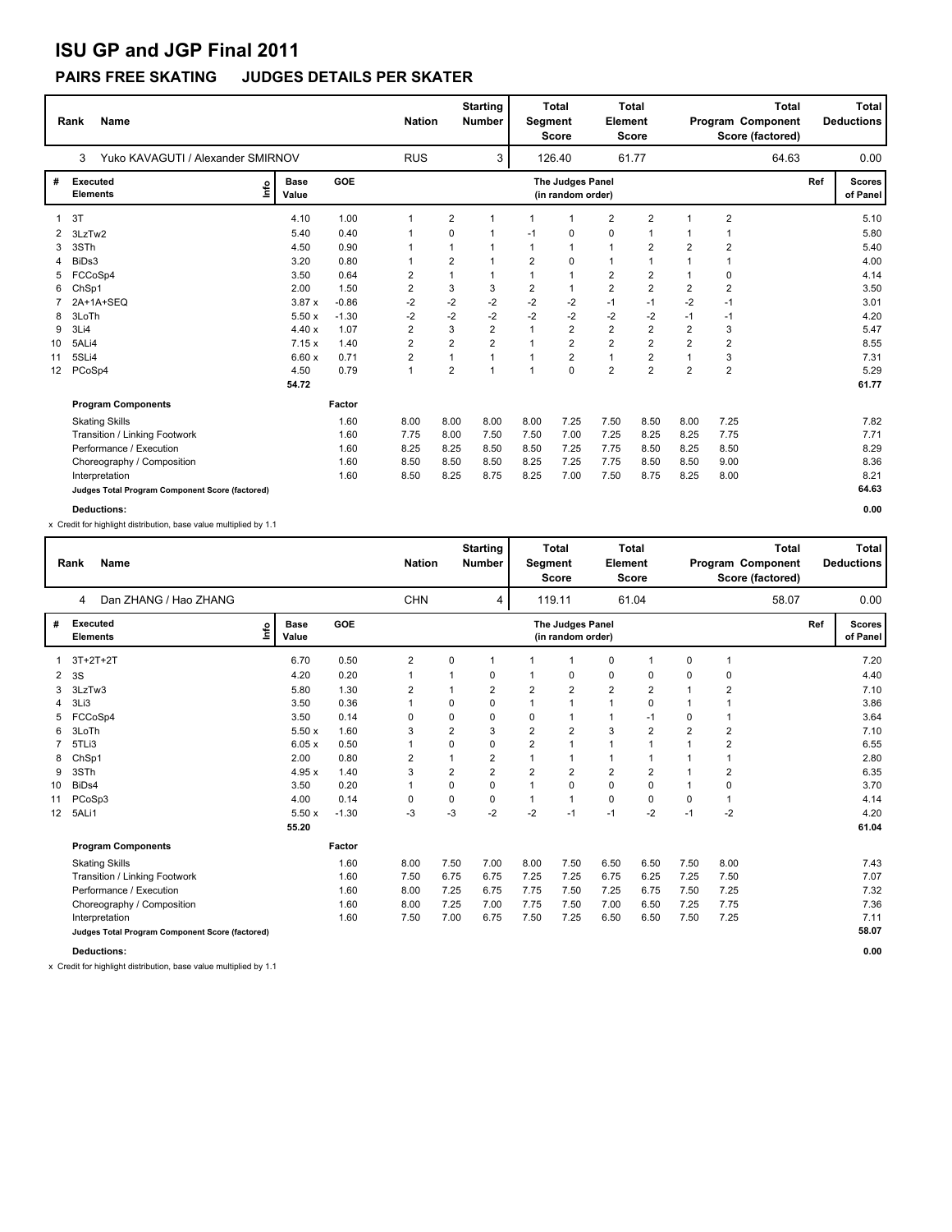# **ISU GP and JGP Final 2011**

### **PAIRS FREE SKATING JUDGES DETAILS PER SKATER**

|                 | <b>Name</b><br>Rank                             |                      |            | <b>Nation</b>  |                | <b>Starting</b><br><b>Number</b> | <b>Segment</b> | <b>Total</b><br><b>Score</b>          | <b>Element</b> | <b>Total</b><br><b>Score</b> |                | <b>Total</b><br>Program Component<br>Score (factored) |     | <b>Total</b><br><b>Deductions</b> |
|-----------------|-------------------------------------------------|----------------------|------------|----------------|----------------|----------------------------------|----------------|---------------------------------------|----------------|------------------------------|----------------|-------------------------------------------------------|-----|-----------------------------------|
|                 | Yuko KAVAGUTI / Alexander SMIRNOV<br>3          |                      |            | <b>RUS</b>     |                | 3                                |                | 126.40                                |                | 61.77                        |                | 64.63                                                 |     | 0.00                              |
| #               | Executed<br>١m<br><b>Elements</b>               | <b>Base</b><br>Value | <b>GOE</b> |                |                |                                  |                | The Judges Panel<br>(in random order) |                |                              |                |                                                       | Ref | <b>Scores</b><br>of Panel         |
| 1               | 3T                                              | 4.10                 | 1.00       | 1              | $\overline{2}$ | 1                                | 1              | $\mathbf{1}$                          | $\overline{2}$ | $\overline{2}$               | $\mathbf 1$    | $\overline{2}$                                        |     | 5.10                              |
| 2               | 3LzTw2                                          | 5.40                 | 0.40       | 1              | 0              |                                  | $-1$           | 0                                     | $\mathbf 0$    | 1                            | 1              | 1                                                     |     | 5.80                              |
| 3               | 3STh                                            | 4.50                 | 0.90       | 1              | $\mathbf{1}$   |                                  | 1              | $\mathbf{1}$                          | $\mathbf{1}$   | 2                            | $\overline{2}$ | $\overline{2}$                                        |     | 5.40                              |
| 4               | BiDs3                                           | 3.20                 | 0.80       | 1              | $\overline{2}$ | 1                                | $\overline{2}$ | $\mathbf 0$                           | $\mathbf{1}$   | $\overline{1}$               | $\mathbf{1}$   | $\overline{1}$                                        |     | 4.00                              |
| 5               | FCCoSp4                                         | 3.50                 | 0.64       | $\overline{2}$ | $\mathbf{1}$   | 1                                | $\mathbf{1}$   | $\mathbf{1}$                          | $\overline{2}$ | $\overline{2}$               | 1              | 0                                                     |     | 4.14                              |
| 6               | ChSp1                                           | 2.00                 | 1.50       | $\overline{2}$ | 3              | 3                                | $\overline{2}$ | $\mathbf{1}$                          | $\overline{2}$ | $\overline{2}$               | $\overline{2}$ | $\overline{2}$                                        |     | 3.50                              |
|                 | 2A+1A+SEQ                                       | 3.87x                | $-0.86$    | $-2$           | $-2$           | $-2$                             | $-2$           | $-2$                                  | $-1$           | $-1$                         | $-2$           | $-1$                                                  |     | 3.01                              |
| 8               | 3LoTh                                           | 5.50x                | $-1.30$    | $-2$           | $-2$           | $-2$                             | $-2$           | $-2$                                  | $-2$           | $-2$                         | $-1$           | $-1$                                                  |     | 4.20                              |
| 9               | 3Li4                                            | 4.40x                | 1.07       | 2              | 3              | $\overline{2}$                   | $\mathbf 1$    | $\overline{2}$                        | $\overline{2}$ | $\overline{\mathbf{c}}$      | $\overline{2}$ | 3                                                     |     | 5.47                              |
| 10              | 5ALi4                                           | 7.15x                | 1.40       | 2              | $\overline{2}$ | $\overline{2}$                   | $\mathbf{1}$   | $\overline{2}$                        | $\overline{2}$ | $\overline{2}$               | $\overline{2}$ | $\overline{2}$                                        |     | 8.55                              |
| 11              | 5SLi4                                           | 6.60x                | 0.71       | $\overline{2}$ | $\mathbf{1}$   |                                  | $\overline{1}$ | $\overline{2}$                        | $\mathbf{1}$   | $\overline{2}$               | $\overline{1}$ | 3                                                     |     | 7.31                              |
| 12 <sup>2</sup> | PCoSp4                                          | 4.50                 | 0.79       | $\mathbf{1}$   | $\overline{2}$ | 1                                | $\mathbf{1}$   | $\Omega$                              | $\overline{2}$ | $\overline{2}$               | $\overline{2}$ | $\overline{2}$                                        |     | 5.29                              |
|                 |                                                 | 54.72                |            |                |                |                                  |                |                                       |                |                              |                |                                                       |     | 61.77                             |
|                 | <b>Program Components</b>                       |                      | Factor     |                |                |                                  |                |                                       |                |                              |                |                                                       |     |                                   |
|                 | <b>Skating Skills</b>                           |                      | 1.60       | 8.00           | 8.00           | 8.00                             | 8.00           | 7.25                                  | 7.50           | 8.50                         | 8.00           | 7.25                                                  |     | 7.82                              |
|                 | Transition / Linking Footwork                   |                      | 1.60       | 7.75           | 8.00           | 7.50                             | 7.50           | 7.00                                  | 7.25           | 8.25                         | 8.25           | 7.75                                                  |     | 7.71                              |
|                 | Performance / Execution                         |                      | 1.60       | 8.25           | 8.25           | 8.50                             | 8.50           | 7.25                                  | 7.75           | 8.50                         | 8.25           | 8.50                                                  |     | 8.29                              |
|                 | Choreography / Composition                      |                      | 1.60       | 8.50           | 8.50           | 8.50                             | 8.25           | 7.25                                  | 7.75           | 8.50                         | 8.50           | 9.00                                                  |     | 8.36                              |
|                 | Interpretation                                  |                      | 1.60       | 8.50           | 8.25           | 8.75                             | 8.25           | 7.00                                  | 7.50           | 8.75                         | 8.25           | 8.00                                                  |     | 8.21                              |
|                 | Judges Total Program Component Score (factored) |                      |            |                |                |                                  |                |                                       |                |                              |                |                                                       |     | 64.63                             |
|                 | <b>Deductions:</b>                              |                      |            |                |                |                                  |                |                                       |                |                              |                |                                                       |     | 0.00                              |

x Credit for highlight distribution, base value multiplied by 1.1

|                   | <b>Name</b><br>Rank                             |                      |            | <b>Nation</b>  |             | <b>Starting</b><br><b>Number</b> | Segment        | <b>Total</b><br><b>Score</b>          | <b>Element</b>          | <b>Total</b><br><b>Score</b> |                |                         | <b>Total</b><br>Program Component<br>Score (factored) |     | <b>Total</b><br><b>Deductions</b> |
|-------------------|-------------------------------------------------|----------------------|------------|----------------|-------------|----------------------------------|----------------|---------------------------------------|-------------------------|------------------------------|----------------|-------------------------|-------------------------------------------------------|-----|-----------------------------------|
|                   | Dan ZHANG / Hao ZHANG<br>4                      |                      |            | <b>CHN</b>     |             | 4                                |                | 119.11                                |                         | 61.04                        |                |                         | 58.07                                                 |     | 0.00                              |
| #                 | Executed<br>١nf٥<br><b>Elements</b>             | <b>Base</b><br>Value | <b>GOE</b> |                |             |                                  |                | The Judges Panel<br>(in random order) |                         |                              |                |                         |                                                       | Ref | <b>Scores</b><br>of Panel         |
|                   | $3T+2T+2T$                                      | 6.70                 | 0.50       | $\overline{2}$ | 0           |                                  |                | 1                                     | 0                       | $\mathbf 1$                  | 0              | 1                       |                                                       |     | 7.20                              |
| 2                 | 3S                                              | 4.20                 | 0.20       | 1              |             | 0                                |                | 0                                     | 0                       | 0                            | 0              | 0                       |                                                       |     | 4.40                              |
| 3                 | 3LzTw3                                          | 5.80                 | 1.30       | 2              |             | 2                                | 2              | $\overline{2}$                        | $\overline{\mathbf{c}}$ | $\overline{2}$               |                | $\overline{\mathbf{c}}$ |                                                       |     | 7.10                              |
| 4                 | 3Li3                                            | 3.50                 | 0.36       |                | 0           | 0                                | 1              | 1                                     | 1                       | 0                            |                |                         |                                                       |     | 3.86                              |
|                   | FCCoSp4                                         | 3.50                 | 0.14       | 0              | $\mathbf 0$ | 0                                | 0              | 1                                     | 1                       | $-1$                         | 0              | 1                       |                                                       |     | 3.64                              |
| 6                 | 3LoTh                                           | 5.50x                | 1.60       | 3              | 2           | 3                                | $\overline{2}$ | $\overline{2}$                        | 3                       | $\overline{2}$               | $\overline{2}$ | $\overline{\mathbf{c}}$ |                                                       |     | 7.10                              |
|                   | 5TLi3                                           | 6.05x                | 0.50       | $\overline{1}$ | 0           | 0                                | $\overline{2}$ | 1                                     | $\mathbf{1}$            | $\mathbf 1$                  | 1              | $\overline{\mathbf{c}}$ |                                                       |     | 6.55                              |
| 8                 | ChSp1                                           | 2.00                 | 0.80       | 2              | $\mathbf 1$ | 2                                | 1              | $\mathbf{1}$                          | 1                       | $\mathbf 1$                  |                | 1                       |                                                       |     | 2.80                              |
| 9                 | 3STh                                            | 4.95x                | 1.40       | 3              | 2           | $\overline{2}$                   | $\overline{2}$ | $\overline{2}$                        | $\overline{2}$          | $\overline{2}$               |                | $\overline{\mathbf{c}}$ |                                                       |     | 6.35                              |
| 10                | BiD <sub>s4</sub>                               | 3.50                 | 0.20       | 1              | $\Omega$    | 0                                | 1              | 0                                     | 0                       | 0                            |                | 0                       |                                                       |     | 3.70                              |
| 11                | PCoSp3                                          | 4.00                 | 0.14       | 0              | 0           | 0                                | 1              | $\mathbf{1}$                          | 0                       | 0                            | 0              | $\mathbf{1}$            |                                                       |     | 4.14                              |
| $12 \overline{ }$ | 5ALi1                                           | 5.50x                | $-1.30$    | $-3$           | $-3$        | $-2$                             | $-2$           | $-1$                                  | $-1$                    | $-2$                         | $-1$           | $-2$                    |                                                       |     | 4.20                              |
|                   |                                                 | 55.20                |            |                |             |                                  |                |                                       |                         |                              |                |                         |                                                       |     | 61.04                             |
|                   | <b>Program Components</b>                       |                      | Factor     |                |             |                                  |                |                                       |                         |                              |                |                         |                                                       |     |                                   |
|                   | <b>Skating Skills</b>                           |                      | 1.60       | 8.00           | 7.50        | 7.00                             | 8.00           | 7.50                                  | 6.50                    | 6.50                         | 7.50           | 8.00                    |                                                       |     | 7.43                              |
|                   | Transition / Linking Footwork                   |                      | 1.60       | 7.50           | 6.75        | 6.75                             | 7.25           | 7.25                                  | 6.75                    | 6.25                         | 7.25           | 7.50                    |                                                       |     | 7.07                              |
|                   | Performance / Execution                         |                      | 1.60       | 8.00           | 7.25        | 6.75                             | 7.75           | 7.50                                  | 7.25                    | 6.75                         | 7.50           | 7.25                    |                                                       |     | 7.32                              |
|                   | Choreography / Composition                      |                      | 1.60       | 8.00           | 7.25        | 7.00                             | 7.75           | 7.50                                  | 7.00                    | 6.50                         | 7.25           | 7.75                    |                                                       |     | 7.36                              |
|                   | Interpretation                                  |                      | 1.60       | 7.50           | 7.00        | 6.75                             | 7.50           | 7.25                                  | 6.50                    | 6.50                         | 7.50           | 7.25                    |                                                       |     | 7.11                              |
|                   | Judges Total Program Component Score (factored) |                      |            |                |             |                                  |                |                                       |                         |                              |                |                         |                                                       |     | 58.07                             |
|                   | <b>Deductions:</b>                              |                      |            |                |             |                                  |                |                                       |                         |                              |                |                         |                                                       |     | 0.00                              |

x Credit for highlight distribution, base value multiplied by 1.1